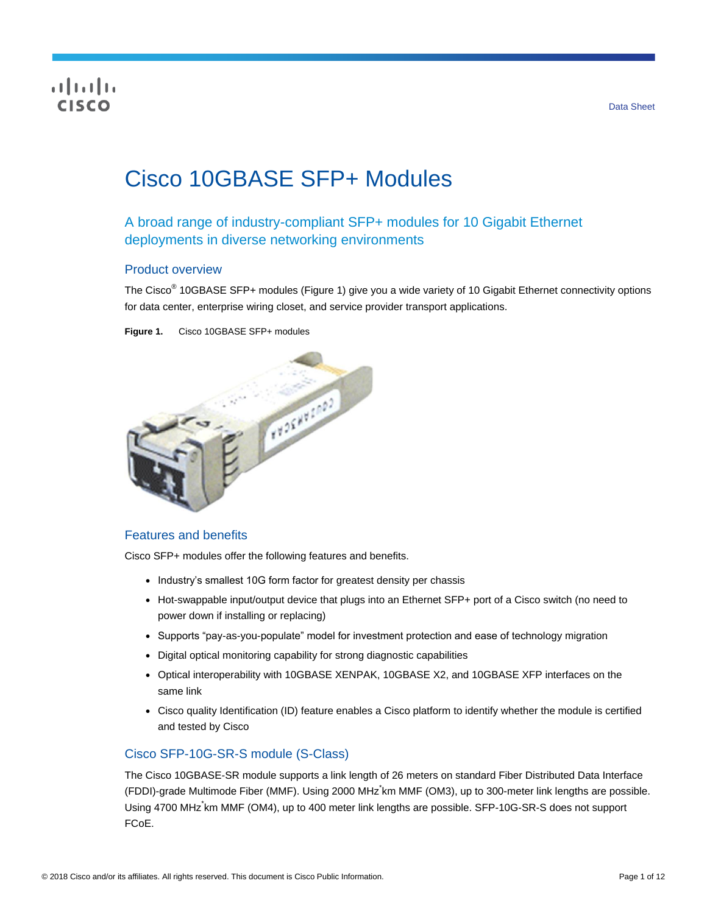## CISCO

# Cisco 10GBASE SFP+ Modules

## A broad range of industry-compliant SFP+ modules for 10 Gigabit Ethernet deployments in diverse networking environments

#### Product overview

The Cisco<sup>®</sup> 10GBASE SFP+ modules (Figure 1) give you a wide variety of 10 Gigabit Ethernet connectivity options for data center, enterprise wiring closet, and service provider transport applications.

**Figure 1.** Cisco 10GBASE SFP+ modules



#### Features and benefits

Cisco SFP+ modules offer the following features and benefits.

- Industry's smallest 10G form factor for greatest density per chassis
- Hot-swappable input/output device that plugs into an Ethernet SFP+ port of a Cisco switch (no need to power down if installing or replacing)
- Supports "pay-as-you-populate" model for investment protection and ease of technology migration
- Digital optical monitoring capability for strong diagnostic capabilities
- Optical interoperability with 10GBASE XENPAK, 10GBASE X2, and 10GBASE XFP interfaces on the same link
- Cisco quality Identification (ID) feature enables a Cisco platform to identify whether the module is certified and tested by Cisco

#### Cisco SFP-10G-SR-S module (S-Class)

The Cisco 10GBASE-SR module supports a link length of 26 meters on standard Fiber Distributed Data Interface (FDDI)-grade Multimode Fiber (MMF). Using 2000 MHz\* km MMF (OM3), up to 300-meter link lengths are possible. Using 4700 MHz<sup>\*</sup>km MMF (OM4), up to 400 meter link lengths are possible. SFP-10G-SR-S does not support FCoE.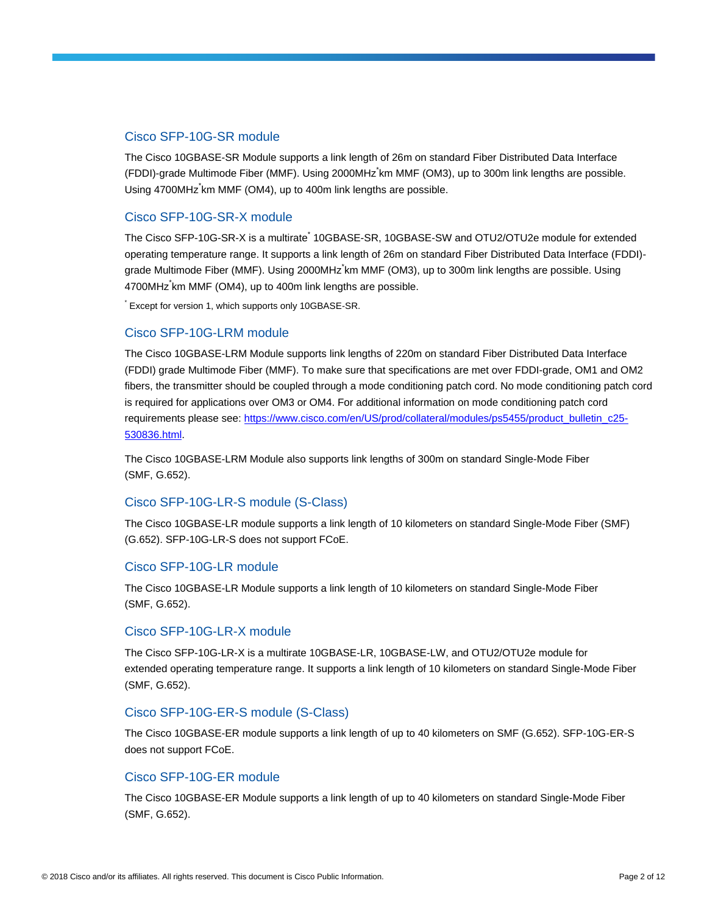#### Cisco SFP-10G-SR module

The Cisco 10GBASE-SR Module supports a link length of 26m on standard Fiber Distributed Data Interface (FDDI)-grade Multimode Fiber (MMF). Using 2000MHz\* km MMF (OM3), up to 300m link lengths are possible. Using 4700MHz<sup>\*</sup>km MMF (OM4), up to 400m link lengths are possible.

#### Cisco SFP-10G-SR-X module

The Cisco SFP-10G-SR-X is a multirate<sup>\*</sup> 10GBASE-SR, 10GBASE-SW and OTU2/OTU2e module for extended operating temperature range. It supports a link length of 26m on standard Fiber Distributed Data Interface (FDDI) grade Multimode Fiber (MMF). Using 2000MHz km MMF (OM3), up to 300m link lengths are possible. Using 4700MHz\* km MMF (OM4), up to 400m link lengths are possible.

\* Except for version 1, which supports only 10GBASE-SR.

#### Cisco SFP-10G-LRM module

The Cisco 10GBASE-LRM Module supports link lengths of 220m on standard Fiber Distributed Data Interface (FDDI) grade Multimode Fiber (MMF). To make sure that specifications are met over FDDI-grade, OM1 and OM2 fibers, the transmitter should be coupled through a mode conditioning patch cord. No mode conditioning patch cord is required for applications over OM3 or OM4. For additional information on mode conditioning patch cord requirements please see: [https://www.cisco.com/en/US/prod/collateral/modules/ps5455/product\\_bulletin\\_c25-](https://www.cisco.com/en/US/prod/collateral/modules/ps5455/product_bulletin_c25-530836.html) [530836.html.](https://www.cisco.com/en/US/prod/collateral/modules/ps5455/product_bulletin_c25-530836.html)

The Cisco 10GBASE-LRM Module also supports link lengths of 300m on standard Single-Mode Fiber (SMF, G.652).

#### Cisco SFP-10G-LR-S module (S-Class)

The Cisco 10GBASE-LR module supports a link length of 10 kilometers on standard Single-Mode Fiber (SMF) (G.652). SFP-10G-LR-S does not support FCoE.

#### Cisco SFP-10G-LR module

The Cisco 10GBASE-LR Module supports a link length of 10 kilometers on standard Single-Mode Fiber (SMF, G.652).

#### Cisco SFP-10G-LR-X module

The Cisco SFP-10G-LR-X is a multirate 10GBASE-LR, 10GBASE-LW, and OTU2/OTU2e module for extended operating temperature range. It supports a link length of 10 kilometers on standard Single-Mode Fiber (SMF, G.652).

#### Cisco SFP-10G-ER-S module (S-Class)

The Cisco 10GBASE-ER module supports a link length of up to 40 kilometers on SMF (G.652). SFP-10G-ER-S does not support FCoE.

#### Cisco SFP-10G-ER module

The Cisco 10GBASE-ER Module supports a link length of up to 40 kilometers on standard Single-Mode Fiber (SMF, G.652).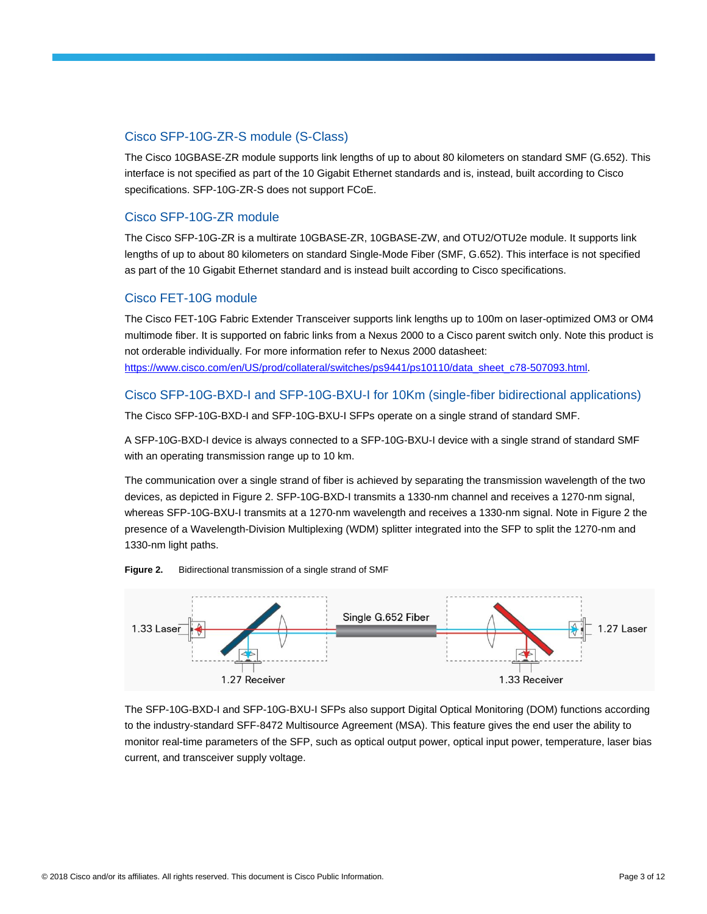#### Cisco SFP-10G-ZR-S module (S-Class)

The Cisco 10GBASE-ZR module supports link lengths of up to about 80 kilometers on standard SMF (G.652). This interface is not specified as part of the 10 Gigabit Ethernet standards and is, instead, built according to Cisco specifications. SFP-10G-ZR-S does not support FCoE.

#### Cisco SFP-10G-ZR module

The Cisco SFP-10G-ZR is a multirate 10GBASE-ZR, 10GBASE-ZW, and OTU2/OTU2e module. It supports link lengths of up to about 80 kilometers on standard Single-Mode Fiber (SMF, G.652). This interface is not specified as part of the 10 Gigabit Ethernet standard and is instead built according to Cisco specifications.

#### Cisco FET-10G module

The Cisco FET-10G Fabric Extender Transceiver supports link lengths up to 100m on laser-optimized OM3 or OM4 multimode fiber. It is supported on fabric links from a Nexus 2000 to a Cisco parent switch only. Note this product is not orderable individually. For more information refer to Nexus 2000 datasheet: [https://www.cisco.com/en/US/prod/collateral/switches/ps9441/ps10110/data\\_sheet\\_c78-507093.html.](https://www.cisco.com/en/US/prod/collateral/switches/ps9441/ps10110/data_sheet_c78-507093.html)

#### Cisco SFP-10G-BXD-I and SFP-10G-BXU-I for 10Km (single-fiber bidirectional applications)

The Cisco SFP-10G-BXD-I and SFP-10G-BXU-I SFPs operate on a single strand of standard SMF.

A SFP-10G-BXD-I device is always connected to a SFP-10G-BXU-I device with a single strand of standard SMF with an operating transmission range up to 10 km.

The communication over a single strand of fiber is achieved by separating the transmission wavelength of the two devices, as depicted in Figure 2. SFP-10G-BXD-I transmits a 1330-nm channel and receives a 1270-nm signal, whereas SFP-10G-BXU-I transmits at a 1270-nm wavelength and receives a 1330-nm signal. Note in Figure 2 the presence of a Wavelength-Division Multiplexing (WDM) splitter integrated into the SFP to split the 1270-nm and 1330-nm light paths.





The SFP-10G-BXD-I and SFP-10G-BXU-I SFPs also support Digital Optical Monitoring (DOM) functions according to the industry-standard SFF-8472 Multisource Agreement (MSA). This feature gives the end user the ability to monitor real-time parameters of the SFP, such as optical output power, optical input power, temperature, laser bias current, and transceiver supply voltage.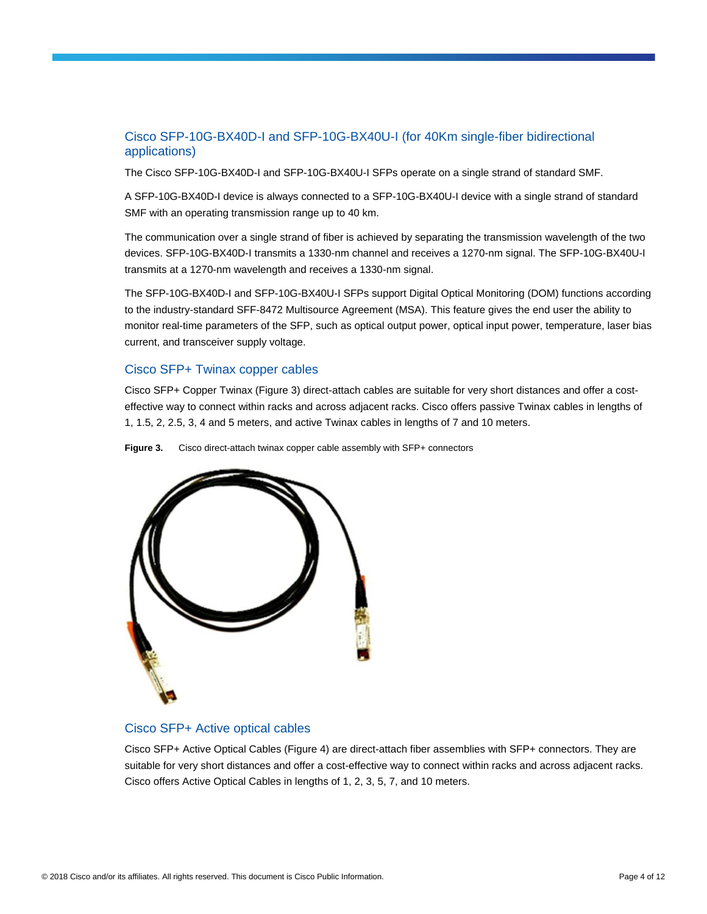#### Cisco SFP-10G-BX40D-I and SFP-10G-BX40U-I (for 40Km single-fiber bidirectional applications)

The Cisco SFP-10G-BX40D-I and SFP-10G-BX40U-I SFPs operate on a single strand of standard SMF.

A SFP-10G-BX40D-I device is always connected to a SFP-10G-BX40U-I device with a single strand of standard SMF with an operating transmission range up to 40 km.

The communication over a single strand of fiber is achieved by separating the transmission wavelength of the two devices. SFP-10G-BX40D-I transmits a 1330-nm channel and receives a 1270-nm signal. The SFP-10G-BX40U-I transmits at a 1270-nm wavelength and receives a 1330-nm signal.

The SFP-10G-BX40D-I and SFP-10G-BX40U-I SFPs support Digital Optical Monitoring (DOM) functions according to the industry-standard SFF-8472 Multisource Agreement (MSA). This feature gives the end user the ability to monitor real-time parameters of the SFP, such as optical output power, optical input power, temperature, laser bias current, and transceiver supply voltage.

#### Cisco SFP+ Twinax copper cables

Cisco SFP+ Copper Twinax (Figure 3) direct-attach cables are suitable for very short distances and offer a costeffective way to connect within racks and across adjacent racks. Cisco offers passive Twinax cables in lengths of 1, 1.5, 2, 2.5, 3, 4 and 5 meters, and active Twinax cables in lengths of 7 and 10 meters.

**Figure 3.** Cisco direct-attach twinax copper cable assembly with SFP+ connectors



#### Cisco SFP+ Active optical cables

Cisco SFP+ Active Optical Cables (Figure 4) are direct-attach fiber assemblies with SFP+ connectors. They are suitable for very short distances and offer a cost-effective way to connect within racks and across adjacent racks. Cisco offers Active Optical Cables in lengths of 1, 2, 3, 5, 7, and 10 meters.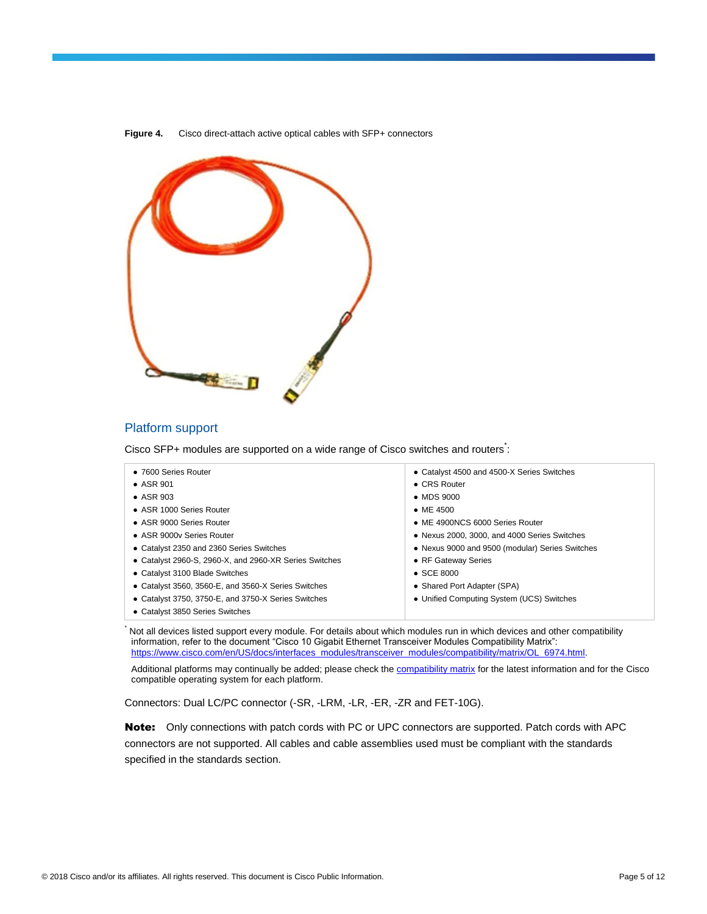

**Figure 4.** Cisco direct-attach active optical cables with SFP+ connectors

#### Platform support

Cisco SFP+ modules are supported on a wide range of Cisco switches and routers:

| • 7600 Series Router                                   | • Catalyst 4500 and 4500-X Series Switches      |
|--------------------------------------------------------|-------------------------------------------------|
| $\bullet$ ASR 901                                      | $\bullet$ CRS Router                            |
| $\bullet$ ASR 903                                      | $\bullet$ MDS 9000                              |
| • ASR 1000 Series Router                               | $\bullet$ ME 4500                               |
| • ASR 9000 Series Router                               | • ME 4900NCS 6000 Series Router                 |
| • ASR 9000y Series Router                              | • Nexus 2000, 3000, and 4000 Series Switches    |
| • Catalyst 2350 and 2360 Series Switches               | • Nexus 9000 and 9500 (modular) Series Switches |
| • Catalyst 2960-S, 2960-X, and 2960-XR Series Switches | • RF Gateway Series                             |
| • Catalyst 3100 Blade Switches                         | $\bullet$ SCE 8000                              |
| • Catalyst 3560, 3560-E, and 3560-X Series Switches    | • Shared Port Adapter (SPA)                     |
| • Catalyst 3750, 3750-E, and 3750-X Series Switches    | • Unified Computing System (UCS) Switches       |
| • Catalyst 3850 Series Switches                        |                                                 |

Not all devices listed support every module. For details about which modules run in which devices and other compatibility information, refer to the document "Cisco 10 Gigabit Ethernet Transceiver Modules Compatibility Matrix": [https://www.cisco.com/en/US/docs/interfaces\\_modules/transceiver\\_modules/compatibility/matrix/OL\\_6974.html.](https://www.cisco.com/en/US/docs/interfaces_modules/transceiver_modules/compatibility/matrix/OL_6974.html)

Additional platforms may continually be added; please check th[e compatibility matrix](https://www.cisco.com/en/US/docs/interfaces_modules/transceiver_modules/compatibility/matrix/OL_6974.html) for the latest information and for the Cisco compatible operating system for each platform.

Connectors: Dual LC/PC connector (-SR, -LRM, -LR, -ER, -ZR and FET-10G).

Note: Only connections with patch cords with PC or UPC connectors are supported. Patch cords with APC connectors are not supported. All cables and cable assemblies used must be compliant with the standards specified in the standards section.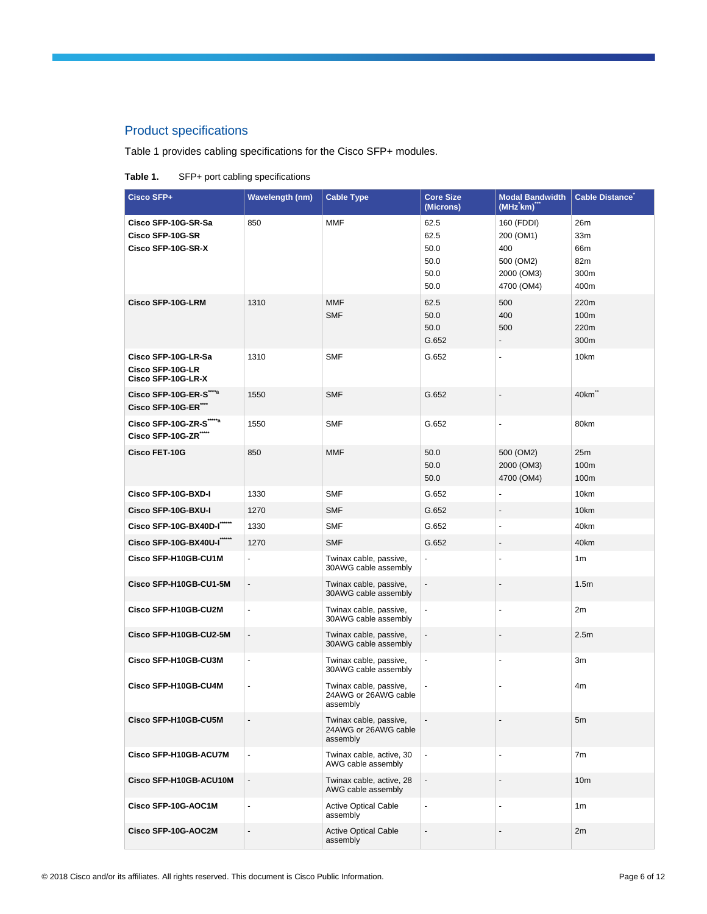## Product specifications

#### Table 1 provides cabling specifications for the Cisco SFP+ modules.

#### **Table 1.** SFP+ port cabling specifications

| Cisco SFP+                                                          | <b>Wavelength (nm)</b>   | <b>Cable Type</b>                                          | <b>Core Size</b><br>(Microns)                | <b>Modal Bandwidth</b><br>$(MHz$ km)                                    | <b>Cable Distance</b>                                |
|---------------------------------------------------------------------|--------------------------|------------------------------------------------------------|----------------------------------------------|-------------------------------------------------------------------------|------------------------------------------------------|
| Cisco SFP-10G-SR-Sa<br>Cisco SFP-10G-SR<br>Cisco SFP-10G-SR-X       | 850                      | <b>MMF</b>                                                 | 62.5<br>62.5<br>50.0<br>50.0<br>50.0<br>50.0 | 160 (FDDI)<br>200 (OM1)<br>400<br>500 (OM2)<br>2000 (OM3)<br>4700 (OM4) | 26m<br>33 <sub>m</sub><br>66m<br>82m<br>300m<br>400m |
| <b>Cisco SFP-10G-LRM</b>                                            | 1310                     | <b>MMF</b><br><b>SMF</b>                                   | 62.5<br>50.0<br>50.0<br>G.652                | 500<br>400<br>500<br>$\overline{\phantom{a}}$                           | 220m<br>100m<br>220m<br>300m                         |
| Cisco SFP-10G-LR-Sa<br>Cisco SFP-10G-LR<br>Cisco SFP-10G-LR-X       | 1310                     | <b>SMF</b>                                                 | G.652                                        | $\blacksquare$                                                          | 10km                                                 |
| Cisco SFP-10G-ER-S <sup>***</sup><br>Cisco SFP-10G-ER <sup>""</sup> | 1550                     | <b>SMF</b>                                                 | G.652                                        | $\overline{\phantom{a}}$                                                | 40km                                                 |
| Cisco SFP-10G-ZR-S"""<br>Cisco SFP-10G-ZR"                          | 1550                     | <b>SMF</b>                                                 | G.652                                        | $\blacksquare$                                                          | 80km                                                 |
| <b>Cisco FET-10G</b>                                                | 850                      | <b>MMF</b>                                                 | 50.0<br>50.0<br>50.0                         | 500 (OM2)<br>2000 (OM3)<br>4700 (OM4)                                   | 25m<br>100m<br>100m                                  |
| Cisco SFP-10G-BXD-I                                                 | 1330                     | <b>SMF</b>                                                 | G.652                                        | $\blacksquare$                                                          | 10km                                                 |
| Cisco SFP-10G-BXU-I                                                 | 1270                     | <b>SMF</b>                                                 | G.652                                        | $\overline{\phantom{a}}$                                                | 10km                                                 |
| Cisco SFP-10G-BX40D-I                                               | 1330                     | <b>SMF</b>                                                 | G.652                                        | ÷,                                                                      | 40km                                                 |
| Cisco SFP-10G-BX40U-I"""                                            | 1270                     | <b>SMF</b>                                                 | G.652                                        | $\overline{\phantom{a}}$                                                | 40km                                                 |
| Cisco SFP-H10GB-CU1M                                                | $\blacksquare$           | Twinax cable, passive,<br>30AWG cable assembly             | $\overline{\phantom{a}}$                     | $\blacksquare$                                                          | 1 <sub>m</sub>                                       |
| Cisco SFP-H10GB-CU1-5M                                              | ä,                       | Twinax cable, passive,<br>30AWG cable assembly             | $\overline{\phantom{a}}$                     | $\blacksquare$                                                          | 1.5m                                                 |
| Cisco SFP-H10GB-CU2M                                                | $\blacksquare$           | Twinax cable, passive,<br>30AWG cable assembly             | $\blacksquare$                               | $\blacksquare$                                                          | 2m                                                   |
| Cisco SFP-H10GB-CU2-5M                                              | $\overline{\phantom{a}}$ | Twinax cable, passive,<br>30AWG cable assembly             | $\overline{\phantom{a}}$                     | $\overline{\phantom{a}}$                                                | 2.5 <sub>m</sub>                                     |
| Cisco SFP-H10GB-CU3M                                                | $\blacksquare$           | Twinax cable, passive,<br>30AWG cable assembly             | $\blacksquare$                               | $\blacksquare$                                                          | 3m                                                   |
| Cisco SFP-H10GB-CU4M                                                |                          | Twinax cable, passive,<br>24AWG or 26AWG cable<br>assembly |                                              |                                                                         | 4m                                                   |
| Cisco SFP-H10GB-CU5M                                                | $\overline{\phantom{0}}$ | Twinax cable, passive,<br>24AWG or 26AWG cable<br>assembly | $\overline{\phantom{a}}$                     |                                                                         | 5m                                                   |
| Cisco SFP-H10GB-ACU7M                                               |                          | Twinax cable, active, 30<br>AWG cable assembly             |                                              |                                                                         | 7m                                                   |
| Cisco SFP-H10GB-ACU10M                                              | $\overline{\phantom{a}}$ | Twinax cable, active, 28<br>AWG cable assembly             | $\blacksquare$                               | $\overline{\phantom{a}}$                                                | 10 <sub>m</sub>                                      |
| Cisco SFP-10G-AOC1M                                                 | ä,                       | <b>Active Optical Cable</b><br>assembly                    | $\blacksquare$                               | $\blacksquare$                                                          | 1 <sub>m</sub>                                       |
| Cisco SFP-10G-AOC2M                                                 | ۰.                       | <b>Active Optical Cable</b><br>assembly                    | $\overline{\phantom{a}}$                     |                                                                         | 2m                                                   |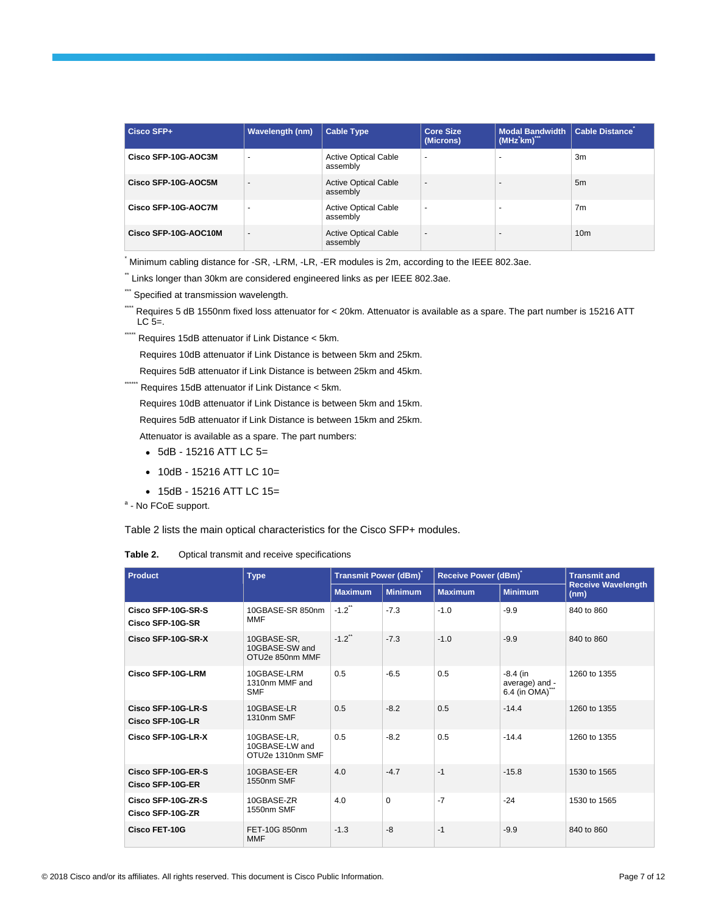| Cisco SFP+           | <b>Wavelength (nm)</b>   | <b>Cable Type</b>                       | <b>Core Size</b><br>(Microns) | <b>Modal Bandwidth</b><br>(MHz'km) | <b>Cable Distance</b> |
|----------------------|--------------------------|-----------------------------------------|-------------------------------|------------------------------------|-----------------------|
| Cisco SFP-10G-AOC3M  | $\overline{\phantom{a}}$ | <b>Active Optical Cable</b><br>assembly | $\overline{\phantom{a}}$      | $\overline{\phantom{0}}$           | 3m                    |
| Cisco SFP-10G-AOC5M  | $\overline{\phantom{a}}$ | <b>Active Optical Cable</b><br>assembly | $\overline{\phantom{a}}$      | $\overline{\phantom{a}}$           | 5m                    |
| Cisco SFP-10G-AOC7M  | ٠                        | <b>Active Optical Cable</b><br>assembly | $\blacksquare$                | ٠                                  | 7 <sub>m</sub>        |
| Cisco SFP-10G-AOC10M | $\overline{\phantom{a}}$ | <b>Active Optical Cable</b><br>assembly | $\overline{\phantom{a}}$      | $\overline{\phantom{a}}$           | 10 <sub>m</sub>       |

Minimum cabling distance for -SR, -LRM, -LR, -ER modules is 2m, according to the IEEE 802.3ae.

\*\* Links longer than 30km are considered engineered links as per IEEE 802.3ae.

\*\*\* Specified at transmission wavelength.

\*\*\*\* Requires 5 dB 1550nm fixed loss attenuator for < 20km. Attenuator is available as a spare. The part number is 15216 ATT  $LC$  5=.

\*\*\*\*\*\*\* Requires 15dB attenuator if Link Distance < 5km.

Requires 10dB attenuator if Link Distance is between 5km and 25km.

Requires 5dB attenuator if Link Distance is between 25km and 45km.

\*\*\*\*\*\*\*\*\* Requires 15dB attenuator if Link Distance < 5km.

Requires 10dB attenuator if Link Distance is between 5km and 15km.

Requires 5dB attenuator if Link Distance is between 15km and 25km.

Attenuator is available as a spare. The part numbers:

- 5dB 15216 ATT LC 5=
- 10dB 15216 ATT LC 10=
- 15dB 15216 ATT LC 15=

<sup>a</sup> - No FCoE support.

Table 2 lists the main optical characteristics for the Cisco SFP+ modules.

**Table 2.** Optical transmit and receive specifications

| Product                                                                | <b>Type</b>                                       | Transmit Power (dBm) |                | Receive Power (dBm) |                                              | <b>Transmit and</b>               |
|------------------------------------------------------------------------|---------------------------------------------------|----------------------|----------------|---------------------|----------------------------------------------|-----------------------------------|
|                                                                        |                                                   | <b>Maximum</b>       | <b>Minimum</b> | <b>Maximum</b>      | <b>Minimum</b>                               | <b>Receive Wavelength</b><br>(nm) |
| Cisco SFP-10G-SR-S<br>Cisco SFP-10G-SR                                 | 10GBASE-SR 850nm<br><b>MMF</b>                    | $-1.2$ <sup>**</sup> | $-7.3$         | $-1.0$              | $-9.9$                                       | 840 to 860                        |
| Cisco SFP-10G-SR-X<br>10GBASE-SR.<br>10GBASE-SW and<br>OTU2e 850nm MMF |                                                   | $-1.2$ <sup>**</sup> | $-7.3$         | $-1.0$              | $-9.9$                                       | 840 to 860                        |
| Cisco SFP-10G-LRM                                                      | 10GBASE-LRM<br>1310nm MMF and<br><b>SMF</b>       | 0.5                  | $-6.5$         | 0.5                 | $-8.4$ (in<br>average) and -<br>6.4 (in OMA) | 1260 to 1355                      |
| Cisco SFP-10G-LR-S<br>Cisco SFP-10G-LR                                 | 10GBASE-LR<br>1310nm SMF                          | 0.5                  | $-8.2$         | 0.5                 | $-14.4$                                      | 1260 to 1355                      |
| Cisco SFP-10G-LR-X                                                     | 10GBASE-LR,<br>10GBASE-LW and<br>OTU2e 1310nm SMF | 0.5                  | $-8.2$         | 0.5                 | $-14.4$                                      | 1260 to 1355                      |
| Cisco SFP-10G-ER-S<br>Cisco SFP-10G-ER                                 | 10GBASE-ER<br>1550nm SMF                          | 4.0                  | $-4.7$         | $-1$                | $-15.8$                                      | 1530 to 1565                      |
| Cisco SFP-10G-ZR-S<br>Cisco SFP-10G-ZR                                 | 10GBASE-ZR<br>1550nm SMF                          | 4.0                  | $\Omega$       | $-7$                | $-24$                                        | 1530 to 1565                      |
| Cisco FET-10G                                                          | FET-10G 850nm<br><b>MMF</b>                       | $-1.3$               | $-8$           | $-1$                | $-9.9$                                       | 840 to 860                        |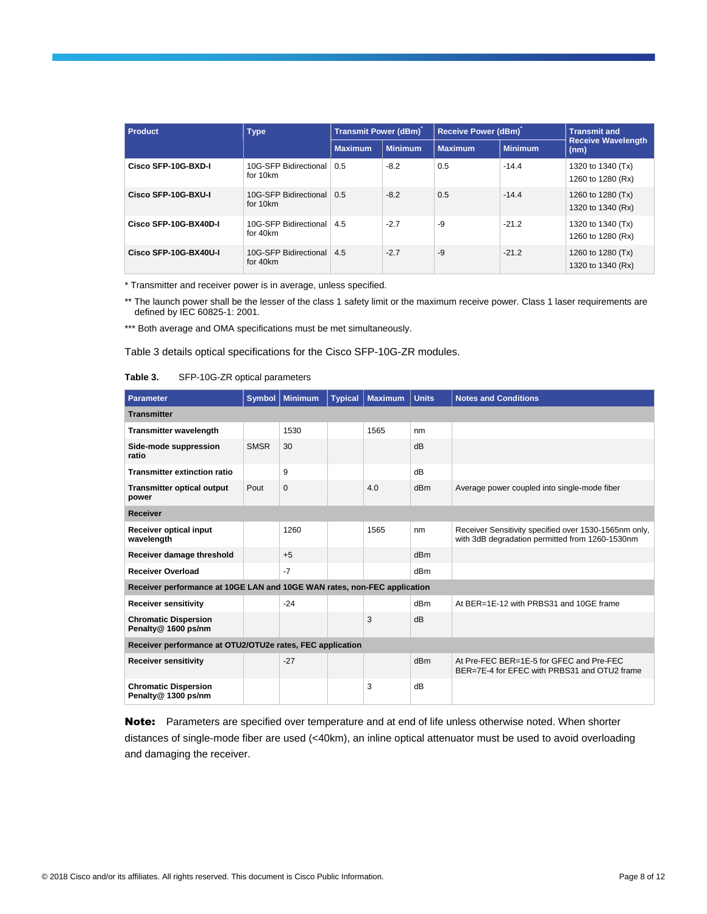| <b>Product</b>        | <b>Type</b>                       | Transmit Power (dBm) |                | Receive Power (dBm) |                | <b>Transmit and</b>                    |  |
|-----------------------|-----------------------------------|----------------------|----------------|---------------------|----------------|----------------------------------------|--|
|                       |                                   | <b>Maximum</b>       | <b>Minimum</b> | <b>Maximum</b>      | <b>Minimum</b> | <b>Receive Wavelength</b><br>(nm)      |  |
| Cisco SFP-10G-BXD-I   | 10G-SFP Bidirectional<br>for 10km | 0.5                  | $-8.2$         | 0.5                 | $-14.4$        | 1320 to 1340 (Tx)<br>1260 to 1280 (Rx) |  |
| Cisco SFP-10G-BXU-I   | 10G-SFP Bidirectional<br>for 10km | 0.5                  | $-8.2$         | 0.5                 | $-14.4$        | 1260 to 1280 (Tx)<br>1320 to 1340 (Rx) |  |
| Cisco SFP-10G-BX40D-I | 10G-SFP Bidirectional<br>for 40km | 4.5                  | $-2.7$         | -9                  | $-21.2$        | 1320 to 1340 (Tx)<br>1260 to 1280 (Rx) |  |
| Cisco SFP-10G-BX40U-I | 10G-SFP Bidirectional<br>for 40km | 4.5                  | $-2.7$         | $-9$                | $-21.2$        | 1260 to 1280 (Tx)<br>1320 to 1340 (Rx) |  |

\* Transmitter and receiver power is in average, unless specified.

\*\* The launch power shall be the lesser of the class 1 safety limit or the maximum receive power. Class 1 laser requirements are defined by IEC 60825-1: 2001.

\*\*\* Both average and OMA specifications must be met simultaneously.

Table 3 details optical specifications for the Cisco SFP-10G-ZR modules.

| SFP-10G-ZR optical parameters<br>Table 3. |  |
|-------------------------------------------|--|
|-------------------------------------------|--|

| Parameter                                                                | <b>Symbol</b> | <b>Minimum</b> | <b>Typical</b> | <b>Maximum</b> | <b>Units</b> | <b>Notes and Conditions</b>                                                                              |
|--------------------------------------------------------------------------|---------------|----------------|----------------|----------------|--------------|----------------------------------------------------------------------------------------------------------|
| <b>Transmitter</b>                                                       |               |                |                |                |              |                                                                                                          |
| <b>Transmitter wavelength</b>                                            |               | 1530           |                | 1565           | nm           |                                                                                                          |
| Side-mode suppression<br>ratio                                           | <b>SMSR</b>   | 30             |                |                | dB           |                                                                                                          |
| <b>Transmitter extinction ratio</b>                                      |               | 9              |                |                | dR           |                                                                                                          |
| <b>Transmitter optical output</b><br>power                               | Pout          | $\Omega$       |                | 4.0            | dBm          | Average power coupled into single-mode fiber                                                             |
| <b>Receiver</b>                                                          |               |                |                |                |              |                                                                                                          |
| <b>Receiver optical input</b><br>wavelength                              |               | 1260           |                | 1565           | nm           | Receiver Sensitivity specified over 1530-1565nm only,<br>with 3dB degradation permitted from 1260-1530nm |
| Receiver damage threshold                                                |               | $+5$           |                |                | dBm          |                                                                                                          |
| <b>Receiver Overload</b>                                                 |               | $-7$           |                |                | dBm          |                                                                                                          |
| Receiver performance at 10GE LAN and 10GE WAN rates, non-FEC application |               |                |                |                |              |                                                                                                          |
| <b>Receiver sensitivity</b>                                              |               | $-24$          |                |                | dBm          | At BER=1E-12 with PRBS31 and 10GE frame                                                                  |
| <b>Chromatic Dispersion</b><br>Penalty@ 1600 ps/nm                       |               |                |                | 3              | dB           |                                                                                                          |
| Receiver performance at OTU2/OTU2e rates, FEC application                |               |                |                |                |              |                                                                                                          |
| <b>Receiver sensitivity</b>                                              |               | $-27$          |                |                | dBm          | At Pre-FEC BER=1E-5 for GFEC and Pre-FEC<br>BER=7E-4 for EFEC with PRBS31 and OTU2 frame                 |
| <b>Chromatic Dispersion</b><br>Penalty@ 1300 ps/nm                       |               |                |                | 3              | dB           |                                                                                                          |

Note: Parameters are specified over temperature and at end of life unless otherwise noted. When shorter distances of single-mode fiber are used (<40km), an inline optical attenuator must be used to avoid overloading and damaging the receiver.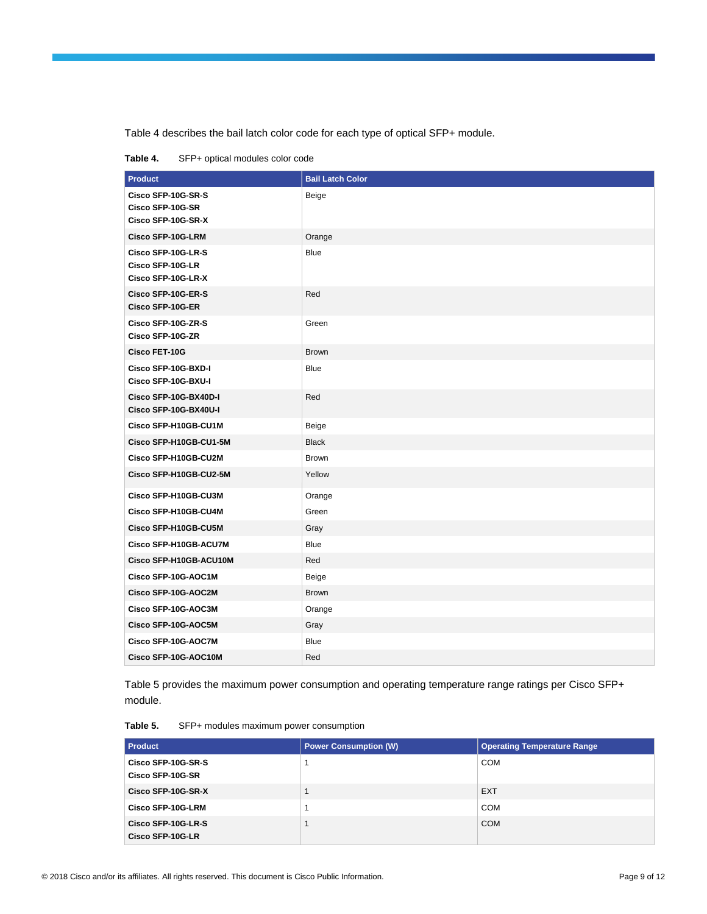Table 4 describes the bail latch color code for each type of optical SFP+ module.

**Table 4.** SFP+ optical modules color code

| <b>Product</b>                                               | <b>Bail Latch Color</b> |
|--------------------------------------------------------------|-------------------------|
| Cisco SFP-10G-SR-S<br>Cisco SFP-10G-SR<br>Cisco SFP-10G-SR-X | Beige                   |
| <b>Cisco SFP-10G-LRM</b>                                     | Orange                  |
| Cisco SFP-10G-LR-S<br>Cisco SFP-10G-LR<br>Cisco SFP-10G-LR-X | <b>Blue</b>             |
| Cisco SFP-10G-ER-S<br><b>Cisco SFP-10G-ER</b>                | Red                     |
| Cisco SFP-10G-ZR-S<br>Cisco SFP-10G-ZR                       | Green                   |
| <b>Cisco FET-10G</b>                                         | <b>Brown</b>            |
| Cisco SFP-10G-BXD-I<br>Cisco SFP-10G-BXU-I                   | <b>Blue</b>             |
| Cisco SFP-10G-BX40D-I<br>Cisco SFP-10G-BX40U-I               | Red                     |
| Cisco SFP-H10GB-CU1M                                         | Beige                   |
| Cisco SFP-H10GB-CU1-5M                                       | <b>Black</b>            |
| Cisco SFP-H10GB-CU2M                                         | <b>Brown</b>            |
| Cisco SFP-H10GB-CU2-5M                                       | Yellow                  |
| Cisco SFP-H10GB-CU3M                                         | Orange                  |
| Cisco SFP-H10GB-CU4M                                         | Green                   |
| Cisco SFP-H10GB-CU5M                                         | Gray                    |
| Cisco SFP-H10GB-ACU7M                                        | Blue                    |
| Cisco SFP-H10GB-ACU10M                                       | Red                     |
| Cisco SFP-10G-AOC1M                                          | Beige                   |
| Cisco SFP-10G-AOC2M                                          | <b>Brown</b>            |
| Cisco SFP-10G-AOC3M                                          | Orange                  |
| Cisco SFP-10G-AOC5M                                          | Gray                    |
| Cisco SFP-10G-AOC7M                                          | <b>Blue</b>             |
| Cisco SFP-10G-AOC10M                                         | Red                     |

Table 5 provides the maximum power consumption and operating temperature range ratings per Cisco SFP+ module.

**Table 5.** SFP+ modules maximum power consumption

| <b>Product</b>                         | <b>Power Consumption (W)</b> | <b>Operating Temperature Range</b> |
|----------------------------------------|------------------------------|------------------------------------|
| Cisco SFP-10G-SR-S<br>Cisco SFP-10G-SR |                              | COM                                |
| Cisco SFP-10G-SR-X                     |                              | <b>EXT</b>                         |
| Cisco SFP-10G-LRM                      |                              | <b>COM</b>                         |
| Cisco SFP-10G-LR-S<br>Cisco SFP-10G-LR |                              | <b>COM</b>                         |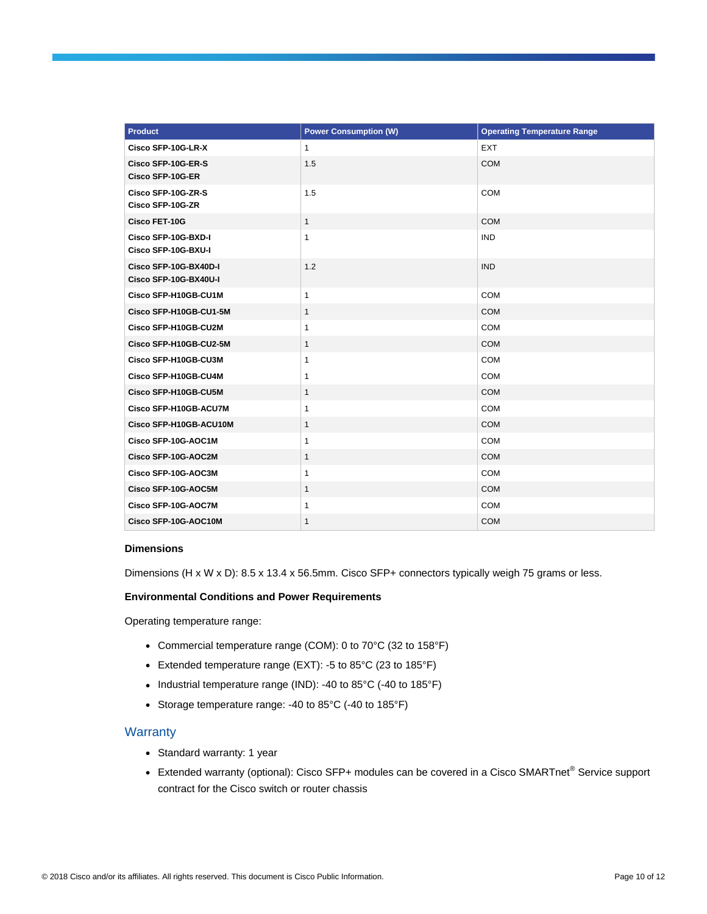| <b>Product</b>                                 | <b>Power Consumption (W)</b> | <b>Operating Temperature Range</b> |
|------------------------------------------------|------------------------------|------------------------------------|
| Cisco SFP-10G-LR-X                             | $\mathbf{1}$                 | <b>EXT</b>                         |
| Cisco SFP-10G-ER-S                             | 1.5                          | <b>COM</b>                         |
| Cisco SFP-10G-ER                               |                              |                                    |
| Cisco SFP-10G-ZR-S<br>Cisco SFP-10G-ZR         | 1.5                          | COM                                |
| <b>Cisco FET-10G</b>                           | $\mathbf{1}$                 | <b>COM</b>                         |
| Cisco SFP-10G-BXD-I<br>Cisco SFP-10G-BXU-I     | 1                            | <b>IND</b>                         |
| Cisco SFP-10G-BX40D-I<br>Cisco SFP-10G-BX40U-I | 1.2                          | <b>IND</b>                         |
| Cisco SFP-H10GB-CU1M                           | 1                            | <b>COM</b>                         |
| Cisco SFP-H10GB-CU1-5M                         | 1                            | <b>COM</b>                         |
| Cisco SFP-H10GB-CU2M                           | $\mathbf{1}$                 | COM                                |
| Cisco SFP-H10GB-CU2-5M                         | $\mathbf{1}$                 | <b>COM</b>                         |
| Cisco SFP-H10GB-CU3M                           | 1                            | <b>COM</b>                         |
| Cisco SFP-H10GB-CU4M                           | 1                            | <b>COM</b>                         |
| Cisco SFP-H10GB-CU5M                           | $\mathbf{1}$                 | <b>COM</b>                         |
| Cisco SFP-H10GB-ACU7M                          | $\mathbf{1}$                 | COM                                |
| Cisco SFP-H10GB-ACU10M                         | $\mathbf{1}$                 | COM                                |
| Cisco SFP-10G-AOC1M                            | 1                            | COM                                |
| Cisco SFP-10G-AOC2M                            | 1                            | COM                                |
| Cisco SFP-10G-AOC3M                            | $\mathbf{1}$                 | COM                                |
| Cisco SFP-10G-AOC5M                            | $\mathbf{1}$                 | <b>COM</b>                         |
| Cisco SFP-10G-AOC7M                            | $\mathbf{1}$                 | COM                                |
| Cisco SFP-10G-AOC10M                           | $\mathbf{1}$                 | <b>COM</b>                         |

#### **Dimensions**

Dimensions (H x W x D): 8.5 x 13.4 x 56.5mm. Cisco SFP+ connectors typically weigh 75 grams or less.

#### **Environmental Conditions and Power Requirements**

Operating temperature range:

- Commercial temperature range (COM): 0 to 70°C (32 to 158°F)
- Extended temperature range (EXT): -5 to 85°C (23 to 185°F)
- Industrial temperature range (IND): -40 to 85°C (-40 to 185°F)
- Storage temperature range: -40 to 85°C (-40 to 185°F)

#### **Warranty**

- Standard warranty: 1 year
- Extended warranty (optional): Cisco SFP+ modules can be covered in a Cisco SMARTnet® Service support contract for the Cisco switch or router chassis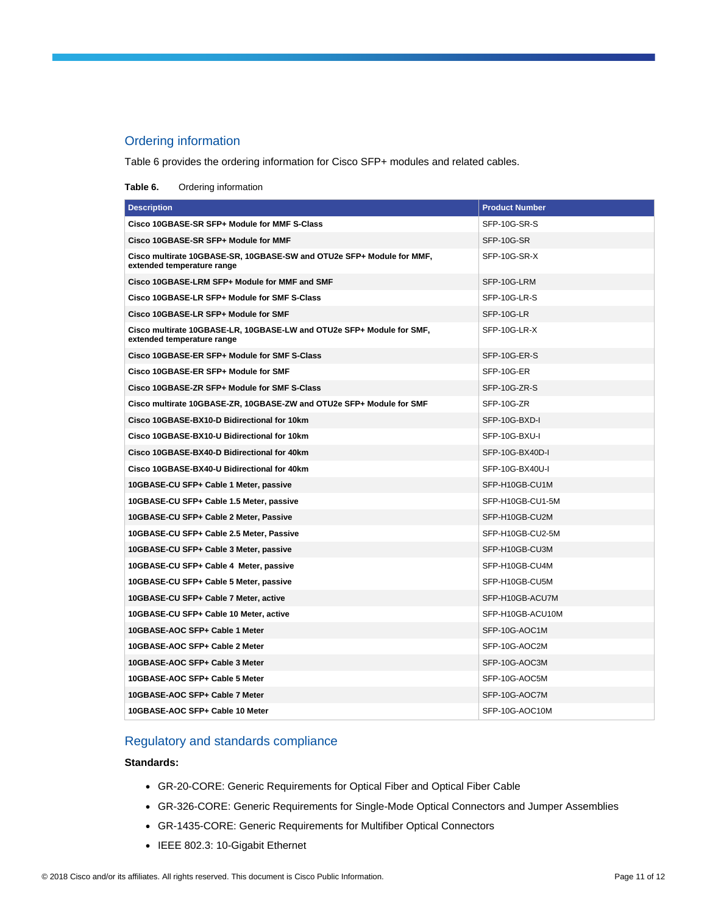#### Ordering information

Table 6 provides the ordering information for Cisco SFP+ modules and related cables.

#### **Table 6.** Ordering information

| <b>Description</b>                                                                                  | <b>Product Number</b> |
|-----------------------------------------------------------------------------------------------------|-----------------------|
| Cisco 10GBASE-SR SFP+ Module for MMF S-Class                                                        | SFP-10G-SR-S          |
| Cisco 10GBASE-SR SFP+ Module for MMF                                                                | SFP-10G-SR            |
| Cisco multirate 10GBASE-SR, 10GBASE-SW and OTU2e SFP+ Module for MMF,<br>extended temperature range | SFP-10G-SR-X          |
| Cisco 10GBASE-LRM SFP+ Module for MMF and SMF                                                       | SFP-10G-LRM           |
| Cisco 10GBASE-LR SFP+ Module for SMF S-Class                                                        | SFP-10G-LR-S          |
| Cisco 10GBASE-LR SFP+ Module for SMF                                                                | SFP-10G-LR            |
| Cisco multirate 10GBASE-LR, 10GBASE-LW and OTU2e SFP+ Module for SMF,<br>extended temperature range | SFP-10G-LR-X          |
| Cisco 10GBASE-ER SFP+ Module for SMF S-Class                                                        | SFP-10G-ER-S          |
| Cisco 10GBASE-ER SFP+ Module for SMF                                                                | SFP-10G-ER            |
| Cisco 10GBASE-ZR SFP+ Module for SMF S-Class                                                        | SFP-10G-ZR-S          |
| Cisco multirate 10GBASE-ZR, 10GBASE-ZW and OTU2e SFP+ Module for SMF                                | SFP-10G-ZR            |
| Cisco 10GBASE-BX10-D Bidirectional for 10km                                                         | SFP-10G-BXD-I         |
| Cisco 10GBASE-BX10-U Bidirectional for 10km                                                         | SFP-10G-BXU-I         |
| Cisco 10GBASE-BX40-D Bidirectional for 40km                                                         | SFP-10G-BX40D-I       |
| Cisco 10GBASE-BX40-U Bidirectional for 40km                                                         | SFP-10G-BX40U-I       |
| 10GBASE-CU SFP+ Cable 1 Meter, passive                                                              | SFP-H10GB-CU1M        |
| 10GBASE-CU SFP+ Cable 1.5 Meter, passive                                                            | SFP-H10GB-CU1-5M      |
| 10GBASE-CU SFP+ Cable 2 Meter, Passive                                                              | SFP-H10GB-CU2M        |
| 10GBASE-CU SFP+ Cable 2.5 Meter, Passive                                                            | SFP-H10GB-CU2-5M      |
| 10GBASE-CU SFP+ Cable 3 Meter, passive                                                              | SFP-H10GB-CU3M        |
| 10GBASE-CU SFP+ Cable 4 Meter, passive                                                              | SFP-H10GB-CU4M        |
| 10GBASE-CU SFP+ Cable 5 Meter, passive                                                              | SFP-H10GB-CU5M        |
| 10GBASE-CU SFP+ Cable 7 Meter, active                                                               | SFP-H10GB-ACU7M       |
| 10GBASE-CU SFP+ Cable 10 Meter, active                                                              | SFP-H10GB-ACU10M      |
| 10GBASE-AOC SFP+ Cable 1 Meter                                                                      | SFP-10G-AOC1M         |
| 10GBASE-AOC SFP+ Cable 2 Meter                                                                      | SFP-10G-AOC2M         |
| 10GBASE-AOC SFP+ Cable 3 Meter                                                                      | SFP-10G-AOC3M         |
| 10GBASE-AOC SFP+ Cable 5 Meter                                                                      | SFP-10G-AOC5M         |
| 10GBASE-AOC SFP+ Cable 7 Meter                                                                      | SFP-10G-AOC7M         |
| 10GBASE-AOC SFP+ Cable 10 Meter                                                                     | SFP-10G-AOC10M        |

#### Regulatory and standards compliance

#### **Standards:**

- GR-20-CORE: Generic Requirements for Optical Fiber and Optical Fiber Cable
- GR-326-CORE: Generic Requirements for Single-Mode Optical Connectors and Jumper Assemblies
- GR-1435-CORE: Generic Requirements for Multifiber Optical Connectors
- IEEE 802.3: 10-Gigabit Ethernet